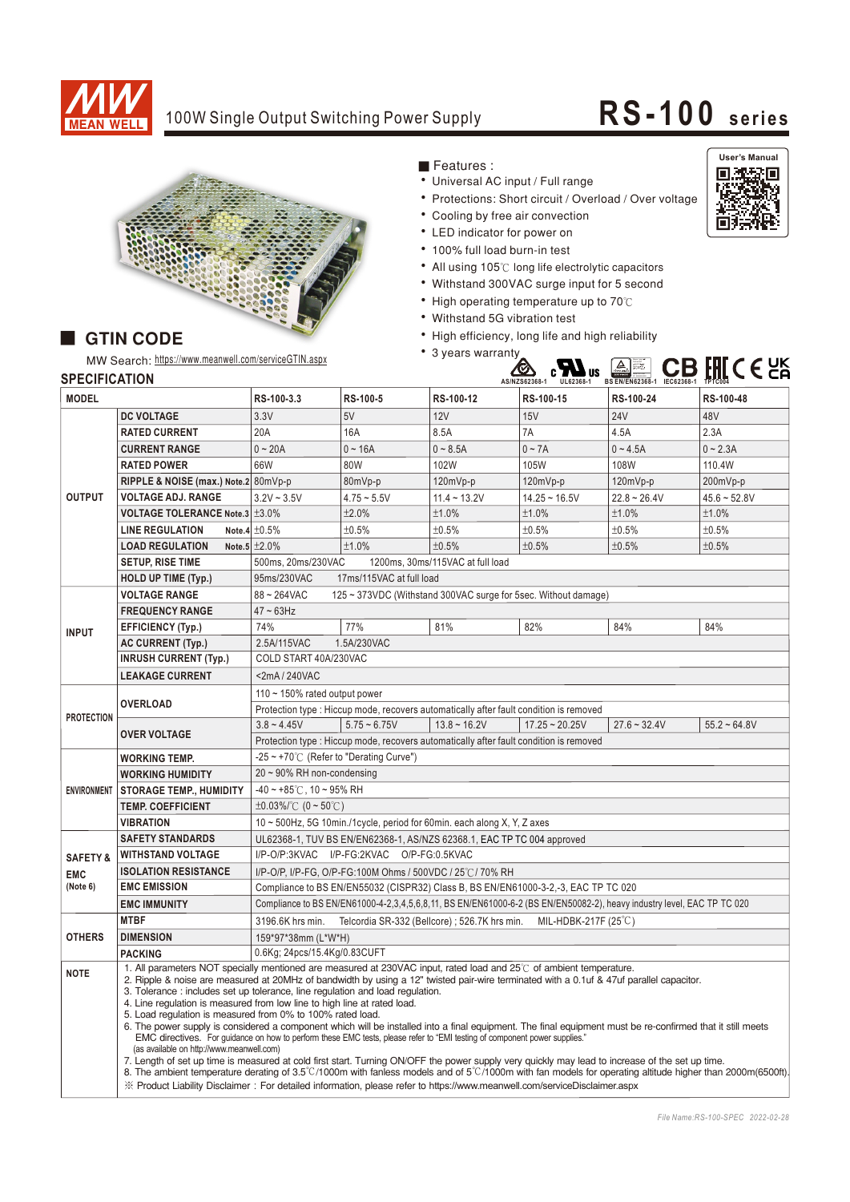

## 100W Single Output Switching Power Supply **RS-100** series



Features:

- Universal AC input / Full range
- Protections: Short circuit / Overload / Over voltage
- Cooling by free air convection
- LED indicator for power on
- 100% full load burn-in test
- All using 105℃ long life electrolytic capacitors
- Withstand 300VAC surge input for 5 second
- High operating temperature up to 70°C
- Withstand 5G vibration test
- High efficiency, long life and high reliability





## **GTIN CODE**

MW Search: https://www.meanwell.com/serviceGTIN.aspx

**AS/NZS62368-1 UL62368-1 IEC62368-1** Bauari gepruft<br>Bauari<br>Sicherheit<br>ETABLIER **BS EN/EN62368-1 TPTC004**

| <b>SPECIFICATION</b> |  |  |
|----------------------|--|--|

| <b>SPECIFICATION</b> |                                                                                                                                                                                                                                                                                                                                                                                                                                                                                                                                                                                                                                                                                                                                                                                                                                                                                                                                                                                                                                                                                                                                                                                                                                                                                   |                                                                                                                        |                |                                               | AS/NZS62368-1<br>$UL62368-1$ | BS EN/EN62368-1 IEC62368-1 | TPTC004        |  |  |
|----------------------|-----------------------------------------------------------------------------------------------------------------------------------------------------------------------------------------------------------------------------------------------------------------------------------------------------------------------------------------------------------------------------------------------------------------------------------------------------------------------------------------------------------------------------------------------------------------------------------------------------------------------------------------------------------------------------------------------------------------------------------------------------------------------------------------------------------------------------------------------------------------------------------------------------------------------------------------------------------------------------------------------------------------------------------------------------------------------------------------------------------------------------------------------------------------------------------------------------------------------------------------------------------------------------------|------------------------------------------------------------------------------------------------------------------------|----------------|-----------------------------------------------|------------------------------|----------------------------|----------------|--|--|
| <b>MODEL</b>         |                                                                                                                                                                                                                                                                                                                                                                                                                                                                                                                                                                                                                                                                                                                                                                                                                                                                                                                                                                                                                                                                                                                                                                                                                                                                                   | RS-100-3.3                                                                                                             | RS-100-5       | RS-100-12                                     | RS-100-15                    | RS-100-24                  | RS-100-48      |  |  |
| <b>OUTPUT</b>        | <b>DC VOLTAGE</b>                                                                                                                                                                                                                                                                                                                                                                                                                                                                                                                                                                                                                                                                                                                                                                                                                                                                                                                                                                                                                                                                                                                                                                                                                                                                 | 3.3V                                                                                                                   | 5V             | 12V                                           | 15V                          | <b>24V</b>                 | 48V            |  |  |
|                      | <b>RATED CURRENT</b>                                                                                                                                                                                                                                                                                                                                                                                                                                                                                                                                                                                                                                                                                                                                                                                                                                                                                                                                                                                                                                                                                                                                                                                                                                                              | 20A                                                                                                                    | 16A            | 8.5A                                          | 7A                           | 4.5A                       | 2.3A           |  |  |
|                      | <b>CURRENT RANGE</b>                                                                                                                                                                                                                                                                                                                                                                                                                                                                                                                                                                                                                                                                                                                                                                                                                                                                                                                                                                                                                                                                                                                                                                                                                                                              | $0 - 20A$                                                                                                              | $0 - 16A$      | $0 - 8.5A$                                    | $0 - 7A$                     | $0 - 4.5A$                 | $0 - 2.3A$     |  |  |
|                      | <b>RATED POWER</b>                                                                                                                                                                                                                                                                                                                                                                                                                                                                                                                                                                                                                                                                                                                                                                                                                                                                                                                                                                                                                                                                                                                                                                                                                                                                | 66W                                                                                                                    | 80W            | 102W                                          | 105W                         | 108W                       | 110.4W         |  |  |
|                      | RIPPLE & NOISE (max.) Note.2 80mVp-p                                                                                                                                                                                                                                                                                                                                                                                                                                                                                                                                                                                                                                                                                                                                                                                                                                                                                                                                                                                                                                                                                                                                                                                                                                              |                                                                                                                        | 80mVp-p        | 120mVp-p                                      | 120mVp-p                     | 120mVp-p                   | 200mVp-p       |  |  |
|                      | <b>VOLTAGE ADJ. RANGE</b>                                                                                                                                                                                                                                                                                                                                                                                                                                                                                                                                                                                                                                                                                                                                                                                                                                                                                                                                                                                                                                                                                                                                                                                                                                                         | $3.2V - 3.5V$                                                                                                          | $4.75 - 5.5V$  | $11.4 - 13.2V$                                | $14.25 - 16.5V$              | $22.8 - 26.4V$             | $45.6 - 52.8V$ |  |  |
|                      | <b>VOLTAGE TOLERANCE Note.3 ±3.0%</b>                                                                                                                                                                                                                                                                                                                                                                                                                                                                                                                                                                                                                                                                                                                                                                                                                                                                                                                                                                                                                                                                                                                                                                                                                                             |                                                                                                                        | ±2.0%          | ±1.0%                                         | ±1.0%                        | ±1.0%                      | ±1.0%          |  |  |
|                      | <b>LINE REGULATION</b>                                                                                                                                                                                                                                                                                                                                                                                                                                                                                                                                                                                                                                                                                                                                                                                                                                                                                                                                                                                                                                                                                                                                                                                                                                                            | Note.4 $\pm 0.5\%$                                                                                                     | ±0.5%          | $±0.5\%$                                      | ±0.5%                        | ±0.5%                      | ±0.5%          |  |  |
|                      | <b>LOAD REGULATION</b>                                                                                                                                                                                                                                                                                                                                                                                                                                                                                                                                                                                                                                                                                                                                                                                                                                                                                                                                                                                                                                                                                                                                                                                                                                                            | Note.5 $\pm 2.0\%$                                                                                                     | ±1.0%          | ±0.5%                                         | ±0.5%                        | ±0.5%                      | ±0.5%          |  |  |
|                      | <b>SETUP, RISE TIME</b>                                                                                                                                                                                                                                                                                                                                                                                                                                                                                                                                                                                                                                                                                                                                                                                                                                                                                                                                                                                                                                                                                                                                                                                                                                                           | 500ms, 20ms/230VAC<br>1200ms, 30ms/115VAC at full load                                                                 |                |                                               |                              |                            |                |  |  |
|                      | <b>HOLD UP TIME (Typ.)</b>                                                                                                                                                                                                                                                                                                                                                                                                                                                                                                                                                                                                                                                                                                                                                                                                                                                                                                                                                                                                                                                                                                                                                                                                                                                        | 95ms/230VAC<br>17ms/115VAC at full load                                                                                |                |                                               |                              |                            |                |  |  |
|                      | <b>VOLTAGE RANGE</b>                                                                                                                                                                                                                                                                                                                                                                                                                                                                                                                                                                                                                                                                                                                                                                                                                                                                                                                                                                                                                                                                                                                                                                                                                                                              | 88~264VAC<br>125 ~ 373VDC (Withstand 300VAC surge for 5sec. Without damage)                                            |                |                                               |                              |                            |                |  |  |
| <b>INPUT</b>         | <b>FREQUENCY RANGE</b>                                                                                                                                                                                                                                                                                                                                                                                                                                                                                                                                                                                                                                                                                                                                                                                                                                                                                                                                                                                                                                                                                                                                                                                                                                                            | $47 \sim 63$ Hz                                                                                                        |                |                                               |                              |                            |                |  |  |
|                      | <b>EFFICIENCY (Typ.)</b>                                                                                                                                                                                                                                                                                                                                                                                                                                                                                                                                                                                                                                                                                                                                                                                                                                                                                                                                                                                                                                                                                                                                                                                                                                                          | 74%                                                                                                                    | 77%            | 81%                                           | 82%                          | 84%                        | 84%            |  |  |
|                      | <b>AC CURRENT (Typ.)</b>                                                                                                                                                                                                                                                                                                                                                                                                                                                                                                                                                                                                                                                                                                                                                                                                                                                                                                                                                                                                                                                                                                                                                                                                                                                          | 2.5A/115VAC<br>1.5A/230VAC                                                                                             |                |                                               |                              |                            |                |  |  |
|                      | <b>INRUSH CURRENT (Typ.)</b>                                                                                                                                                                                                                                                                                                                                                                                                                                                                                                                                                                                                                                                                                                                                                                                                                                                                                                                                                                                                                                                                                                                                                                                                                                                      | COLD START 40A/230VAC                                                                                                  |                |                                               |                              |                            |                |  |  |
|                      | <b>LEAKAGE CURRENT</b>                                                                                                                                                                                                                                                                                                                                                                                                                                                                                                                                                                                                                                                                                                                                                                                                                                                                                                                                                                                                                                                                                                                                                                                                                                                            | <2mA / 240VAC                                                                                                          |                |                                               |                              |                            |                |  |  |
| <b>PROTECTION</b>    |                                                                                                                                                                                                                                                                                                                                                                                                                                                                                                                                                                                                                                                                                                                                                                                                                                                                                                                                                                                                                                                                                                                                                                                                                                                                                   | 110 $\sim$ 150% rated output power                                                                                     |                |                                               |                              |                            |                |  |  |
|                      | <b>OVERLOAD</b>                                                                                                                                                                                                                                                                                                                                                                                                                                                                                                                                                                                                                                                                                                                                                                                                                                                                                                                                                                                                                                                                                                                                                                                                                                                                   | Protection type : Hiccup mode, recovers automatically after fault condition is removed                                 |                |                                               |                              |                            |                |  |  |
|                      |                                                                                                                                                                                                                                                                                                                                                                                                                                                                                                                                                                                                                                                                                                                                                                                                                                                                                                                                                                                                                                                                                                                                                                                                                                                                                   | $3.8 - 4.45V$                                                                                                          | $5.75 - 6.75V$ | $13.8 \sim 16.2V$                             | $17.25 - 20.25V$             | $27.6 - 32.4V$             | $55.2 - 64.8V$ |  |  |
|                      | <b>OVER VOLTAGE</b>                                                                                                                                                                                                                                                                                                                                                                                                                                                                                                                                                                                                                                                                                                                                                                                                                                                                                                                                                                                                                                                                                                                                                                                                                                                               | Protection type : Hiccup mode, recovers automatically after fault condition is removed                                 |                |                                               |                              |                            |                |  |  |
|                      | <b>WORKING TEMP.</b>                                                                                                                                                                                                                                                                                                                                                                                                                                                                                                                                                                                                                                                                                                                                                                                                                                                                                                                                                                                                                                                                                                                                                                                                                                                              | -25 ~ +70℃ (Refer to "Derating Curve")                                                                                 |                |                                               |                              |                            |                |  |  |
| <b>ENVIRONMENT</b>   | <b>WORKING HUMIDITY</b>                                                                                                                                                                                                                                                                                                                                                                                                                                                                                                                                                                                                                                                                                                                                                                                                                                                                                                                                                                                                                                                                                                                                                                                                                                                           | $20 \sim 90\%$ RH non-condensing                                                                                       |                |                                               |                              |                            |                |  |  |
|                      | <b>STORAGE TEMP., HUMIDITY</b>                                                                                                                                                                                                                                                                                                                                                                                                                                                                                                                                                                                                                                                                                                                                                                                                                                                                                                                                                                                                                                                                                                                                                                                                                                                    | $-40 \sim +85^{\circ}$ C, 10 ~ 95% RH                                                                                  |                |                                               |                              |                            |                |  |  |
|                      | <b>TEMP. COEFFICIENT</b>                                                                                                                                                                                                                                                                                                                                                                                                                                                                                                                                                                                                                                                                                                                                                                                                                                                                                                                                                                                                                                                                                                                                                                                                                                                          | $\pm 0.03\%$ (0 ~ 50°C)                                                                                                |                |                                               |                              |                            |                |  |  |
|                      | <b>VIBRATION</b>                                                                                                                                                                                                                                                                                                                                                                                                                                                                                                                                                                                                                                                                                                                                                                                                                                                                                                                                                                                                                                                                                                                                                                                                                                                                  | 10 ~ 500Hz, 5G 10min./1cycle, period for 60min. each along X, Y, Z axes                                                |                |                                               |                              |                            |                |  |  |
|                      | <b>SAFETY STANDARDS</b>                                                                                                                                                                                                                                                                                                                                                                                                                                                                                                                                                                                                                                                                                                                                                                                                                                                                                                                                                                                                                                                                                                                                                                                                                                                           | UL62368-1, TUV BS EN/EN62368-1, AS/NZS 62368.1, EAC TP TC 004 approved                                                 |                |                                               |                              |                            |                |  |  |
| <b>SAFETY &amp;</b>  | <b>WITHSTAND VOLTAGE</b>                                                                                                                                                                                                                                                                                                                                                                                                                                                                                                                                                                                                                                                                                                                                                                                                                                                                                                                                                                                                                                                                                                                                                                                                                                                          | I/P-O/P:3KVAC I/P-FG:2KVAC O/P-FG:0.5KVAC                                                                              |                |                                               |                              |                            |                |  |  |
| <b>EMC</b>           | <b>ISOLATION RESISTANCE</b>                                                                                                                                                                                                                                                                                                                                                                                                                                                                                                                                                                                                                                                                                                                                                                                                                                                                                                                                                                                                                                                                                                                                                                                                                                                       | I/P-O/P, I/P-FG, O/P-FG:100M Ohms / 500VDC / 25℃/ 70% RH                                                               |                |                                               |                              |                            |                |  |  |
| (Note 6)             | <b>EMC EMISSION</b>                                                                                                                                                                                                                                                                                                                                                                                                                                                                                                                                                                                                                                                                                                                                                                                                                                                                                                                                                                                                                                                                                                                                                                                                                                                               | Compliance to BS EN/EN55032 (CISPR32) Class B, BS EN/EN61000-3-2,-3, EAC TP TC 020                                     |                |                                               |                              |                            |                |  |  |
|                      | <b>EMC IMMUNITY</b>                                                                                                                                                                                                                                                                                                                                                                                                                                                                                                                                                                                                                                                                                                                                                                                                                                                                                                                                                                                                                                                                                                                                                                                                                                                               | Compliance to BS EN/EN61000-4-2,3,4,5,6,8,11, BS EN/EN61000-6-2 (BS EN/EN50082-2), heavy industry level, EAC TP TC 020 |                |                                               |                              |                            |                |  |  |
| <b>OTHERS</b>        | <b>MTBF</b>                                                                                                                                                                                                                                                                                                                                                                                                                                                                                                                                                                                                                                                                                                                                                                                                                                                                                                                                                                                                                                                                                                                                                                                                                                                                       | 3196.6K hrs min.                                                                                                       |                | Telcordia SR-332 (Bellcore) ; 526.7K hrs min. | MIL-HDBK-217F (25°C)         |                            |                |  |  |
|                      | <b>DIMENSION</b>                                                                                                                                                                                                                                                                                                                                                                                                                                                                                                                                                                                                                                                                                                                                                                                                                                                                                                                                                                                                                                                                                                                                                                                                                                                                  | 159*97*38mm (L*W*H)                                                                                                    |                |                                               |                              |                            |                |  |  |
|                      | <b>PACKING</b>                                                                                                                                                                                                                                                                                                                                                                                                                                                                                                                                                                                                                                                                                                                                                                                                                                                                                                                                                                                                                                                                                                                                                                                                                                                                    | 0.6Kg; 24pcs/15.4Kg/0.83CUFT                                                                                           |                |                                               |                              |                            |                |  |  |
| <b>NOTE</b>          | 1. All parameters NOT specially mentioned are measured at 230VAC input, rated load and 25°C of ambient temperature.<br>2. Ripple & noise are measured at 20MHz of bandwidth by using a 12" twisted pair-wire terminated with a 0.1uf & 47uf parallel capacitor.<br>3. Tolerance : includes set up tolerance, line regulation and load regulation.<br>4. Line regulation is measured from low line to high line at rated load.<br>5. Load regulation is measured from 0% to 100% rated load.<br>6. The power supply is considered a component which will be installed into a final equipment. The final equipment must be re-confirmed that it still meets<br>EMC directives. For guidance on how to perform these EMC tests, please refer to "EMI testing of component power supplies."<br>(as available on http://www.meanwell.com)<br>7. Length of set up time is measured at cold first start. Turning ON/OFF the power supply very quickly may lead to increase of the set up time.<br>8. The ambient temperature derating of 3.5°C/1000m with fanless models and of 5°C/1000m with fan models for operating altitude higher than 2000m(6500ft).<br>X Product Liability Disclaimer: For detailed information, please refer to https://www.meanwell.com/serviceDisclaimer.aspx |                                                                                                                        |                |                                               |                              |                            |                |  |  |